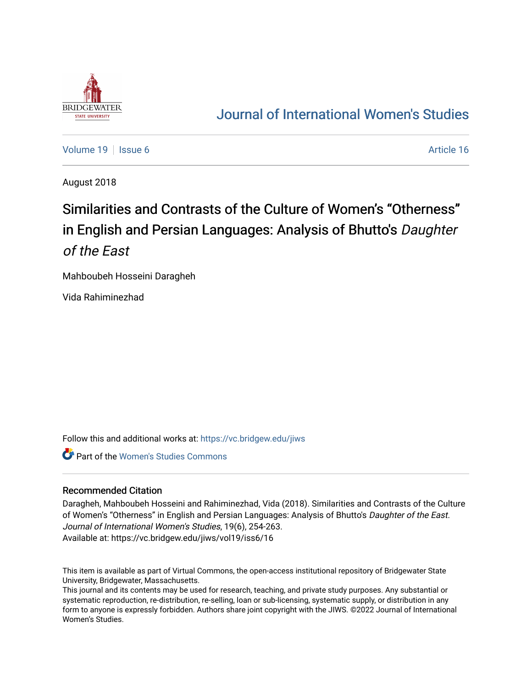

## [Journal of International Women's Studies](https://vc.bridgew.edu/jiws)

[Volume 19](https://vc.bridgew.edu/jiws/vol19) | [Issue 6](https://vc.bridgew.edu/jiws/vol19/iss6) Article 16

August 2018

# Similarities and Contrasts of the Culture of Women's "Otherness" in English and Persian Languages: Analysis of Bhutto's Daughter of the East

Mahboubeh Hosseini Daragheh

Vida Rahiminezhad

Follow this and additional works at: [https://vc.bridgew.edu/jiws](https://vc.bridgew.edu/jiws?utm_source=vc.bridgew.edu%2Fjiws%2Fvol19%2Fiss6%2F16&utm_medium=PDF&utm_campaign=PDFCoverPages)

Part of the [Women's Studies Commons](http://network.bepress.com/hgg/discipline/561?utm_source=vc.bridgew.edu%2Fjiws%2Fvol19%2Fiss6%2F16&utm_medium=PDF&utm_campaign=PDFCoverPages) 

#### Recommended Citation

Daragheh, Mahboubeh Hosseini and Rahiminezhad, Vida (2018). Similarities and Contrasts of the Culture of Women's "Otherness" in English and Persian Languages: Analysis of Bhutto's Daughter of the East. Journal of International Women's Studies, 19(6), 254-263. Available at: https://vc.bridgew.edu/jiws/vol19/iss6/16

This item is available as part of Virtual Commons, the open-access institutional repository of Bridgewater State University, Bridgewater, Massachusetts.

This journal and its contents may be used for research, teaching, and private study purposes. Any substantial or systematic reproduction, re-distribution, re-selling, loan or sub-licensing, systematic supply, or distribution in any form to anyone is expressly forbidden. Authors share joint copyright with the JIWS. ©2022 Journal of International Women's Studies.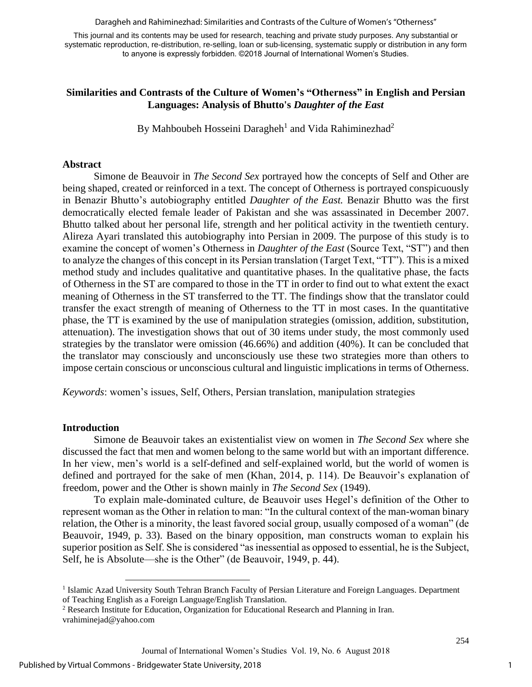Daragheh and Rahiminezhad: Similarities and Contrasts of the Culture of Women's "Otherness"

This journal and its contents may be used for research, teaching and private study purposes. Any substantial or systematic reproduction, re-distribution, re-selling, loan or sub-licensing, systematic supply or distribution in any form to anyone is expressly forbidden. ©2018 Journal of International Women's Studies.

## **Similarities and Contrasts of the Culture of Women's "Otherness" in English and Persian Languages: Analysis of Bhutto's** *Daughter of the East*

By Mahboubeh Hosseini Daragheh<sup>1</sup> and Vida Rahiminezhad<sup>2</sup>

### **Abstract**

Simone de Beauvoir in *The Second Sex* portrayed how the concepts of Self and Other are being shaped, created or reinforced in a text. The concept of Otherness is portrayed conspicuously in Benazir Bhutto's autobiography entitled *Daughter of the East.* Benazir Bhutto was the first democratically elected female leader of Pakistan and she was assassinated in December 2007. Bhutto talked about her personal life, strength and her political activity in the twentieth century. Alireza Ayari translated this autobiography into Persian in 2009. The purpose of this study is to examine the concept of women's Otherness in *Daughter of the East* (Source Text, "ST") and then to analyze the changes of this concept in its Persian translation (Target Text, "TT"). This is a mixed method study and includes qualitative and quantitative phases. In the qualitative phase, the facts of Otherness in the ST are compared to those in the TT in order to find out to what extent the exact meaning of Otherness in the ST transferred to the TT. The findings show that the translator could transfer the exact strength of meaning of Otherness to the TT in most cases. In the quantitative phase, the TT is examined by the use of manipulation strategies (omission, addition, substitution, attenuation). The investigation shows that out of 30 items under study, the most commonly used strategies by the translator were omission (46.66%) and addition (40%). It can be concluded that the translator may consciously and unconsciously use these two strategies more than others to impose certain conscious or unconscious cultural and linguistic implications in terms of Otherness.

*Keywords*: women's issues, Self, Others, Persian translation, manipulation strategies

## **Introduction**

Simone de Beauvoir takes an existentialist view on women in *The Second Sex* where she discussed the fact that men and women belong to the same world but with an important difference. In her view, men's world is a self-defined and self-explained world, but the world of women is defined and portrayed for the sake of men (Khan, 2014, p. 114). De Beauvoir's explanation of freedom, power and the Other is shown mainly in *The Second Sex* (1949).

To explain male-dominated culture, de Beauvoir uses Hegel's definition of the Other to represent woman as the Other in relation to man: "In the cultural context of the man-woman binary relation, the Other is a minority, the least favored social group, usually composed of a woman" (de Beauvoir, 1949, p. 33). Based on the binary opposition, man constructs woman to explain his superior position as Self. She is considered "as inessential as opposed to essential, he is the Subject, Self, he is Absolute—she is the Other" (de Beauvoir, 1949, p. 44).

 $\overline{\phantom{a}}$ 

<sup>&</sup>lt;sup>1</sup> Islamic Azad University South Tehran Branch Faculty of Persian Literature and Foreign Languages. Department of Teaching English as a Foreign Language/English Translation.

<sup>&</sup>lt;sup>2</sup> Research Institute for Education, Organization for Educational Research and Planning in Iran. vrahiminejad@yahoo.com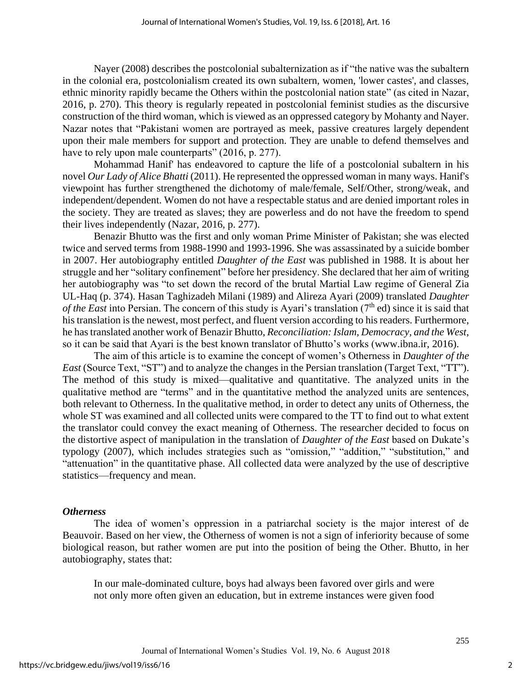Nayer (2008) describes the postcolonial subalternization as if "the native was the subaltern in the colonial era, postcolonialism created its own subaltern, women, 'lower castes', and classes, ethnic minority rapidly became the Others within the postcolonial nation state" (as cited in Nazar, 2016, p. 270). This theory is regularly repeated in postcolonial feminist studies as the discursive construction of the third woman, which is viewed as an oppressed category by Mohanty and Nayer. Nazar notes that "Pakistani women are portrayed as meek, passive creatures largely dependent upon their male members for support and protection. They are unable to defend themselves and have to rely upon male counterparts" (2016, p. 277).

Mohammad Hanif' has endeavored to capture the life of a postcolonial subaltern in his novel *Our Lady of Alice Bhatti* (2011). He represented the oppressed woman in many ways. Hanif's viewpoint has further strengthened the dichotomy of male/female, Self/Other, strong/weak, and independent/dependent. Women do not have a respectable status and are denied important roles in the society. They are treated as slaves; they are powerless and do not have the freedom to spend their lives independently (Nazar, 2016, p. 277).

Benazir Bhutto was the first and only woman Prime Minister of Pakistan; she was elected twice and served terms from 1988-1990 and 1993-1996. She was assassinated by a suicide bomber in 2007. Her autobiography entitled *Daughter of the East* was published in 1988. It is about her struggle and her "solitary confinement" before her presidency. She declared that her aim of writing her autobiography was "to set down the record of the brutal Martial Law regime of General Zia UL-Haq (p. 374). Hasan Taghizadeh Milani (1989) and Alireza Ayari (2009) translated *Daughter of the East* into Persian. The concern of this study is Ayari's translation (7<sup>th</sup> ed) since it is said that his translation is the newest, most perfect, and fluent version according to his readers. Furthermore, he has translated another work of Benazir Bhutto, *Reconciliation: Islam, Democracy, and the West*, so it can be said that Ayari is the best known translator of Bhutto's works (www.ibna.ir, 2016).

The aim of this article is to examine the concept of women's Otherness in *Daughter of the East* (Source Text, "ST") and to analyze the changes in the Persian translation (Target Text, "TT"). The method of this study is mixed—qualitative and quantitative. The analyzed units in the qualitative method are "terms" and in the quantitative method the analyzed units are sentences, both relevant to Otherness. In the qualitative method, in order to detect any units of Otherness, the whole ST was examined and all collected units were compared to the TT to find out to what extent the translator could convey the exact meaning of Otherness. The researcher decided to focus on the distortive aspect of manipulation in the translation of *Daughter of the East* based on Dukate's typology (2007), which includes strategies such as "omission," "addition," "substitution," and "attenuation" in the quantitative phase. All collected data were analyzed by the use of descriptive statistics—frequency and mean.

## *Otherness*

The idea of women's oppression in a patriarchal society is the major interest of de Beauvoir. Based on her view, the Otherness of women is not a sign of inferiority because of some biological reason, but rather women are put into the position of being the Other. Bhutto, in her autobiography, states that:

In our male-dominated culture, boys had always been favored over girls and were not only more often given an education, but in extreme instances were given food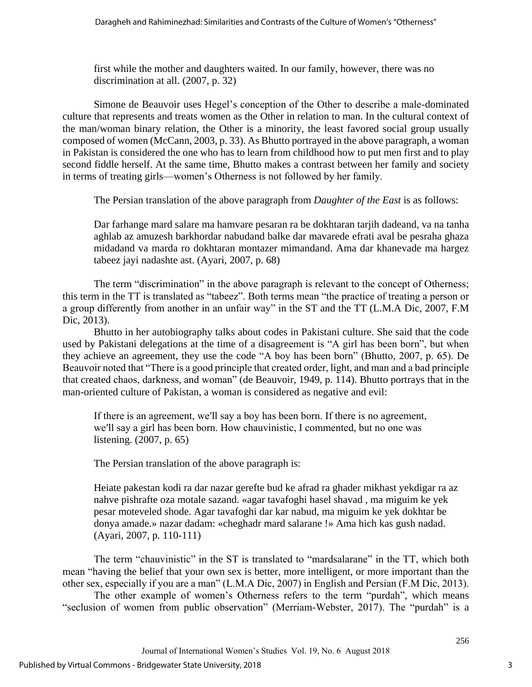first while the mother and daughters waited. In our family, however, there was no discrimination at all. (2007, p. 32)

Simone de Beauvoir uses Hegel's conception of the Other to describe a male-dominated culture that represents and treats women as the Other in relation to man. In the cultural context of the man/woman binary relation, the Other is a minority, the least favored social group usually composed of women (McCann, 2003, p. 33). As Bhutto portrayed in the above paragraph, a woman in Pakistan is considered the one who has to learn from childhood how to put men first and to play second fiddle herself. At the same time, Bhutto makes a contrast between her family and society in terms of treating girls—women's Otherness is not followed by her family.

The Persian translation of the above paragraph from *Daughter of the East* is as follows:

Dar farhange mard salare ma hamvare pesaran ra be dokhtaran tarjih dadeand, va na tanha aghlab az amuzesh barkhordar nabudand balke dar mavarede efrati aval be pesraha ghaza midadand va marda ro dokhtaran montazer mimandand. Ama dar khanevade ma hargez tabeez jayi nadashte ast. (Ayari, 2007, p. 68)

The term "discrimination" in the above paragraph is relevant to the concept of Otherness; this term in the TT is translated as "tabeez". Both terms mean "the practice of treating a person or a group differently from another in an unfair way" in the ST and the TT (L.M.A Dic, 2007, F.M Dic, 2013).

Bhutto in her autobiography talks about codes in Pakistani culture. She said that the code used by Pakistani delegations at the time of a disagreement is "A girl has been born", but when they achieve an agreement, they use the code "A boy has been born" (Bhutto, 2007, p. 65). De Beauvoir noted that "There is a good principle that created order, light, and man and a bad principle that created chaos, darkness, and woman" (de Beauvoir, 1949, p. 114). Bhutto portrays that in the man-oriented culture of Pakistan, a woman is considered as negative and evil:

If there is an agreement, we′ll say a boy has been born. If there is no agreement, we′ll say a girl has been born. How chauvinistic, I commented, but no one was listening. (2007, p. 65)

The Persian translation of the above paragraph is:

Heiate pakestan kodi ra dar nazar gerefte bud ke afrad ra ghader mikhast yekdigar ra az nahve pishrafte oza motale sazand. «agar tavafoghi hasel shavad , ma miguim ke yek pesar moteveled shode. Agar tavafoghi dar kar nabud, ma miguim ke yek dokhtar be donya amade.» nazar dadam: «cheghadr mard salarane !» Ama hich kas gush nadad. (Ayari, 2007, p. 110-111)

The term "chauvinistic" in the ST is translated to "mardsalarane" in the TT, which both mean "having the belief that your own sex is better, more intelligent, or more important than the other sex, especially if you are a man" (L.M.A Dic, 2007) in English and Persian (F.M Dic, 2013).

The other example of women's Otherness refers to the term "purdah", which means "seclusion of women from public observation" (Merriam-Webster, 2017). The "purdah" is a

3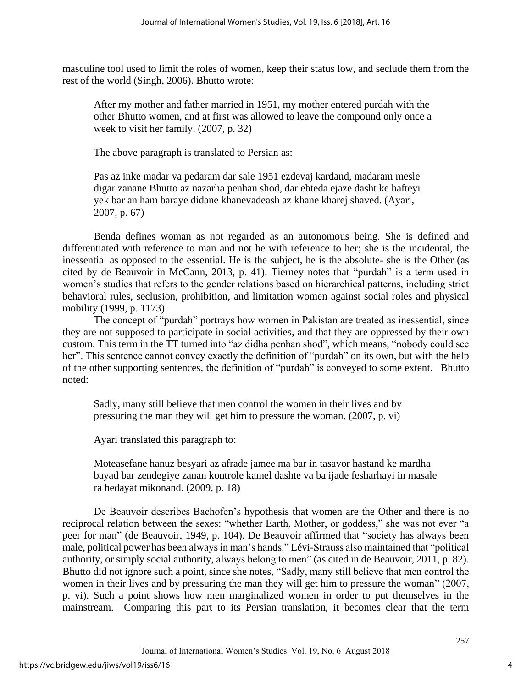masculine tool used to limit the roles of women, keep their status low, and seclude them from the rest of the world (Singh, 2006). Bhutto wrote:

After my mother and father married in 1951, my mother entered purdah with the other Bhutto women, and at first was allowed to leave the compound only once a week to visit her family. (2007, p. 32)

The above paragraph is translated to Persian as:

Pas az inke madar va pedaram dar sale 1951 ezdevaj kardand, madaram mesle digar zanane Bhutto az nazarha penhan shod, dar ebteda ejaze dasht ke hafteyi yek bar an ham baraye didane khanevadeash az khane kharej shaved. (Ayari, 2007, p. 67)

Benda defines woman as not regarded as an autonomous being. She is defined and differentiated with reference to man and not he with reference to her; she is the incidental, the inessential as opposed to the essential. He is the subject, he is the absolute- she is the Other (as cited by de Beauvoir in McCann, 2013, p. 41). Tierney notes that "purdah" is a term used in women's studies that refers to the gender relations based on hierarchical patterns, including strict behavioral rules, seclusion, prohibition, and limitation women against social roles and physical mobility (1999, p. 1173).

The concept of "purdah" portrays how women in Pakistan are treated as inessential, since they are not supposed to participate in social activities, and that they are oppressed by their own custom. This term in the TT turned into "az didha penhan shod", which means, "nobody could see her". This sentence cannot convey exactly the definition of "purdah" on its own, but with the help of the other supporting sentences, the definition of "purdah" is conveyed to some extent. Bhutto noted:

Sadly, many still believe that men control the women in their lives and by pressuring the man they will get him to pressure the woman. (2007, p. vi)

Ayari translated this paragraph to:

Moteasefane hanuz besyari az afrade jamee ma bar in tasavor hastand ke mardha bayad bar zendegiye zanan kontrole kamel dashte va ba ijade fesharhayi in masale ra hedayat mikonand. (2009, p. 18)

De Beauvoir describes Bachofen's hypothesis that women are the Other and there is no reciprocal relation between the sexes: "whether Earth, Mother, or goddess," she was not ever "a peer for man" (de Beauvoir, 1949, p. 104). De Beauvoir affirmed that "society has always been male, political power has been always in man's hands." Lévi-Strauss also maintained that "political authority, or simply social authority, always belong to men" (as cited in de Beauvoir, 2011, p. 82). Bhutto did not ignore such a point, since she notes, "Sadly, many still believe that men control the women in their lives and by pressuring the man they will get him to pressure the woman" (2007, p. vi). Such a point shows how men marginalized women in order to put themselves in the mainstream. Comparing this part to its Persian translation, it becomes clear that the term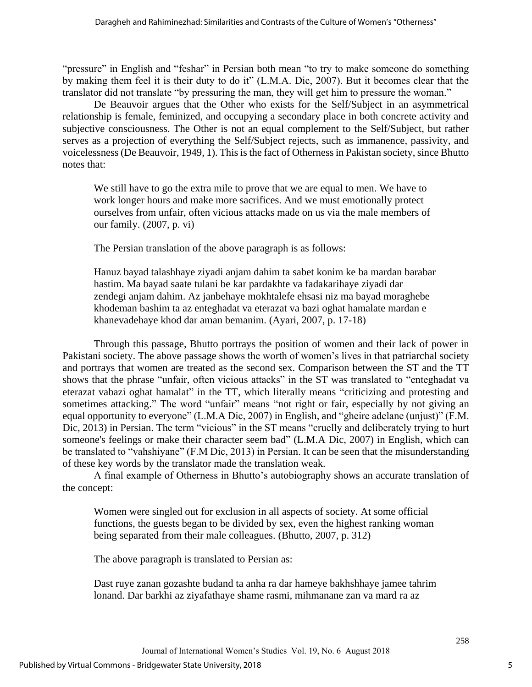"pressure" in English and "feshar" in Persian both mean "to try to make someone do something by making them feel it is their duty to do it" (L.M.A. Dic, 2007). But it becomes clear that the translator did not translate "by pressuring the man, they will get him to pressure the woman."

De Beauvoir argues that the Other who exists for the Self/Subject in an asymmetrical relationship is female, feminized, and occupying a secondary place in both concrete activity and subjective consciousness. The Other is not an equal complement to the Self/Subject, but rather serves as a projection of everything the Self/Subject rejects, such as immanence, passivity, and voicelessness (De Beauvoir, 1949, 1). This is the fact of Otherness in Pakistan society, since Bhutto notes that:

We still have to go the extra mile to prove that we are equal to men. We have to work longer hours and make more sacrifices. And we must emotionally protect ourselves from unfair, often vicious attacks made on us via the male members of our family. (2007, p. vi)

The Persian translation of the above paragraph is as follows:

Hanuz bayad talashhaye ziyadi anjam dahim ta sabet konim ke ba mardan barabar hastim. Ma bayad saate tulani be kar pardakhte va fadakarihaye ziyadi dar zendegi anjam dahim. Az janbehaye mokhtalefe ehsasi niz ma bayad moraghebe khodeman bashim ta az enteghadat va eterazat va bazi oghat hamalate mardan e khanevadehaye khod dar aman bemanim. (Ayari, 2007, p. 17-18)

Through this passage, Bhutto portrays the position of women and their lack of power in Pakistani society. The above passage shows the worth of women's lives in that patriarchal society and portrays that women are treated as the second sex. Comparison between the ST and the TT shows that the phrase "unfair, often vicious attacks" in the ST was translated to "enteghadat va eterazat vabazi oghat hamalat" in the TT, which literally means "criticizing and protesting and sometimes attacking." The word "unfair" means "not right or fair, especially by not giving an equal opportunity to everyone" (L.M.A Dic, 2007) in English, and "gheire adelane (unjust)" (F.M. Dic, 2013) in Persian. The term "vicious" in the ST means "cruelly and deliberately trying to hurt someone's feelings or make their character seem bad" (L.M.A Dic, 2007) in English, which can be translated to "vahshiyane" (F.M Dic, 2013) in Persian. It can be seen that the misunderstanding of these key words by the translator made the translation weak.

A final example of Otherness in Bhutto's autobiography shows an accurate translation of the concept:

Women were singled out for exclusion in all aspects of society. At some official functions, the guests began to be divided by sex, even the highest ranking woman being separated from their male colleagues. (Bhutto, 2007, p. 312)

The above paragraph is translated to Persian as:

Dast ruye zanan gozashte budand ta anha ra dar hameye bakhshhaye jamee tahrim lonand. Dar barkhi az ziyafathaye shame rasmi, mihmanane zan va mard ra az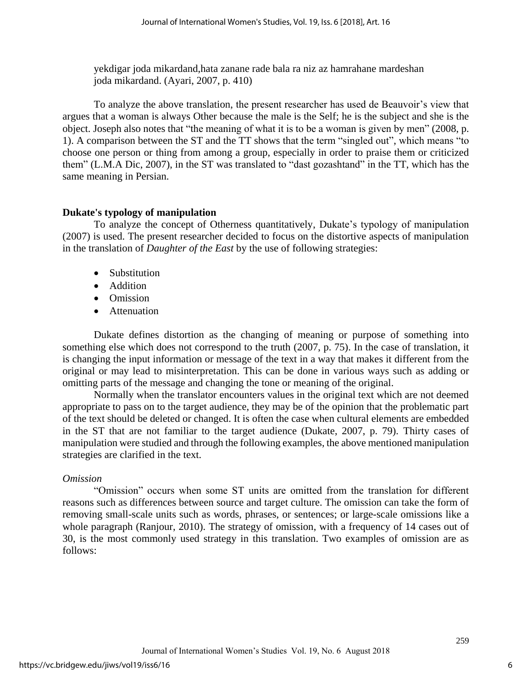yekdigar joda mikardand,hata zanane rade bala ra niz az hamrahane mardeshan joda mikardand. (Ayari, 2007, p. 410)

To analyze the above translation, the present researcher has used de Beauvoir's view that argues that a woman is always Other because the male is the Self; he is the subject and she is the object. Joseph also notes that "the meaning of what it is to be a woman is given by men" (2008, p. 1). A comparison between the ST and the TT shows that the term "singled out", which means "to choose one person or thing from among a group, especially in order to praise them or criticized them" (L.M.A Dic, 2007), in the ST was translated to "dast gozashtand" in the TT, which has the same meaning in Persian.

## **Dukate's typology of manipulation**

To analyze the concept of Otherness quantitatively, Dukate's typology of manipulation (2007) is used. The present researcher decided to focus on the distortive aspects of manipulation in the translation of *Daughter of the East* by the use of following strategies:

- Substitution
- Addition
- Omission
- Attenuation

Dukate defines distortion as the changing of meaning or purpose of something into something else which does not correspond to the truth (2007, p. 75). In the case of translation, it is changing the input information or message of the text in a way that makes it different from the original or may lead to misinterpretation. This can be done in various ways such as adding or omitting parts of the message and changing the tone or meaning of the original.

Normally when the translator encounters values in the original text which are not deemed appropriate to pass on to the target audience, they may be of the opinion that the problematic part of the text should be deleted or changed. It is often the case when cultural elements are embedded in the ST that are not familiar to the target audience (Dukate, 2007, p. 79). Thirty cases of manipulation were studied and through the following examples, the above mentioned manipulation strategies are clarified in the text.

## *Omission*

"Omission" occurs when some ST units are omitted from the translation for different reasons such as differences between source and target culture. The omission can take the form of removing small-scale units such as words, phrases, or sentences; or large-scale omissions like a whole paragraph (Ranjour, 2010). The strategy of omission, with a frequency of 14 cases out of 30, is the most commonly used strategy in this translation. Two examples of omission are as follows: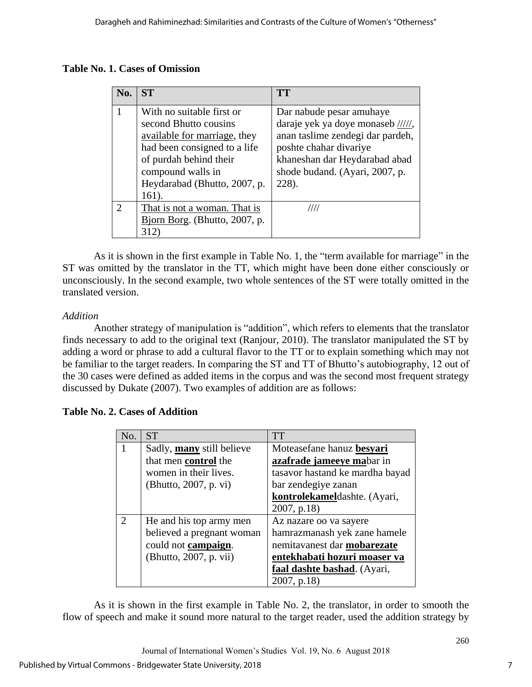| <b>Table No. 1. Cases of Omission</b> |  |  |
|---------------------------------------|--|--|
|---------------------------------------|--|--|

| No.                         | <b>ST</b>                     | <b>TT</b>                          |
|-----------------------------|-------------------------------|------------------------------------|
|                             | With no suitable first or     | Dar nabude pesar amuhaye           |
|                             | second Bhutto cousins         | daraje yek ya doye monaseb //////, |
|                             | available for marriage, they  | anan taslime zendegi dar pardeh,   |
|                             | had been consigned to a life  | poshte chahar divariye             |
|                             | of purdah behind their        | khaneshan dar Heydarabad abad      |
|                             | compound walls in             | shode budand. (Ayari, 2007, p.     |
|                             | Heydarabad (Bhutto, 2007, p.  | 228).                              |
|                             | 161).                         |                                    |
| $\mathcal{D}_{\mathcal{A}}$ | That is not a woman. That is  | ///                                |
|                             | Bjorn Borg. (Bhutto, 2007, p. |                                    |
|                             |                               |                                    |

As it is shown in the first example in Table No. 1, the "term available for marriage" in the ST was omitted by the translator in the TT, which might have been done either consciously or unconsciously. In the second example, two whole sentences of the ST were totally omitted in the translated version.

## *Addition*

Another strategy of manipulation is "addition", which refers to elements that the translator finds necessary to add to the original text (Ranjour, 2010). The translator manipulated the ST by adding a word or phrase to add a cultural flavor to the TT or to explain something which may not be familiar to the target readers. In comparing the ST and TT of Bhutto's autobiography, 12 out of the 30 cases were defined as added items in the corpus and was the second most frequent strategy discussed by Dukate (2007). Two examples of addition are as follows:

| <b>Table No. 2. Cases of Addition</b> |  |  |  |  |
|---------------------------------------|--|--|--|--|
|---------------------------------------|--|--|--|--|

| No.                         | <b>ST</b>                 | <b>TT</b>                       |
|-----------------------------|---------------------------|---------------------------------|
|                             | Sadly, many still believe | Moteasefane hanuz besyari       |
|                             | that men control the      | azafrade jameeye mabar in       |
|                             | women in their lives.     | tasavor hastand ke mardha bayad |
|                             | (Bhutto, 2007, p. vi)     | bar zendegiye zanan             |
|                             |                           | kontrolekameldashte. (Ayari,    |
|                             |                           | 2007, p.18                      |
| $\mathcal{D}_{\mathcal{L}}$ | He and his top army men   | Az nazare oo va sayere          |
|                             | believed a pregnant woman | hamrazmanash yek zane hamele    |
|                             | could not campaign.       | nemitavanest dar mobarezate     |
|                             | (Bhutto, 2007, p. vii)    | entekhabati hozuri moaser va    |
|                             |                           | faal dashte bashad. (Ayari,     |
|                             |                           | 2007, p.18                      |

As it is shown in the first example in Table No. 2, the translator, in order to smooth the flow of speech and make it sound more natural to the target reader, used the addition strategy by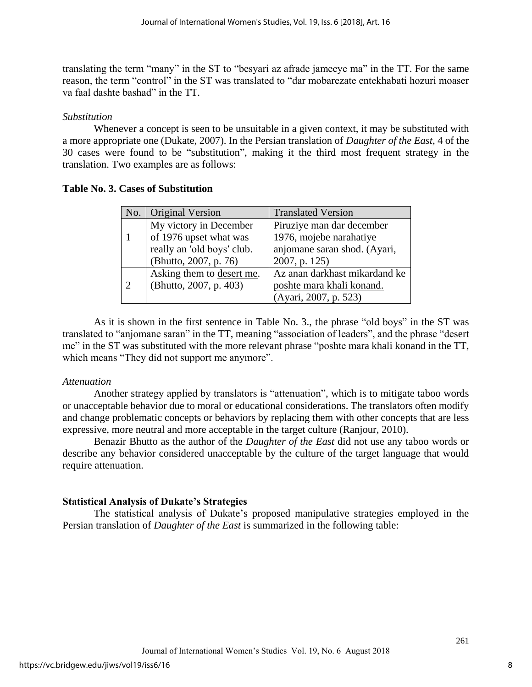translating the term "many" in the ST to "besyari az afrade jameeye ma" in the TT. For the same reason, the term "control" in the ST was translated to "dar mobarezate entekhabati hozuri moaser va faal dashte bashad" in the TT.

## *Substitution*

Whenever a concept is seen to be unsuitable in a given context, it may be substituted with a more appropriate one (Dukate, 2007). In the Persian translation of *Daughter of the East*, 4 of the 30 cases were found to be "substitution", making it the third most frequent strategy in the translation. Two examples are as follows:

## **Table No. 3. Cases of Substitution**

| No.                         | <b>Original Version</b>    | <b>Translated Version</b>     |
|-----------------------------|----------------------------|-------------------------------|
|                             | My victory in December     | Piruziye man dar december     |
|                             | of 1976 upset what was     | 1976, mojebe narahatiye       |
|                             | really an 'old boys' club. | anjomane saran shod. (Ayari,  |
|                             | (Bhutto, 2007, p. 76)      | 2007, p. 125)                 |
|                             | Asking them to desert me.  | Az anan darkhast mikardand ke |
| $\mathcal{D}_{\mathcal{L}}$ | (Bhutto, 2007, p. 403)     | poshte mara khali konand.     |
|                             |                            | (Ayari, 2007, p. 523)         |

As it is shown in the first sentence in Table No. 3., the phrase "old boys" in the ST was translated to "anjomane saran" in the TT, meaning "association of leaders", and the phrase "desert me" in the ST was substituted with the more relevant phrase "poshte mara khali konand in the TT, which means "They did not support me anymore".

## *Attenuation*

Another strategy applied by translators is "attenuation", which is to mitigate taboo words or unacceptable behavior due to moral or educational considerations. The translators often modify and change problematic concepts or behaviors by replacing them with other concepts that are less expressive, more neutral and more acceptable in the target culture (Ranjour, 2010).

Benazir Bhutto as the author of the *Daughter of the East* did not use any taboo words or describe any behavior considered unacceptable by the culture of the target language that would require attenuation.

## **Statistical Analysis of Dukate's Strategies**

The statistical analysis of Dukate's proposed manipulative strategies employed in the Persian translation of *Daughter of the East* is summarized in the following table: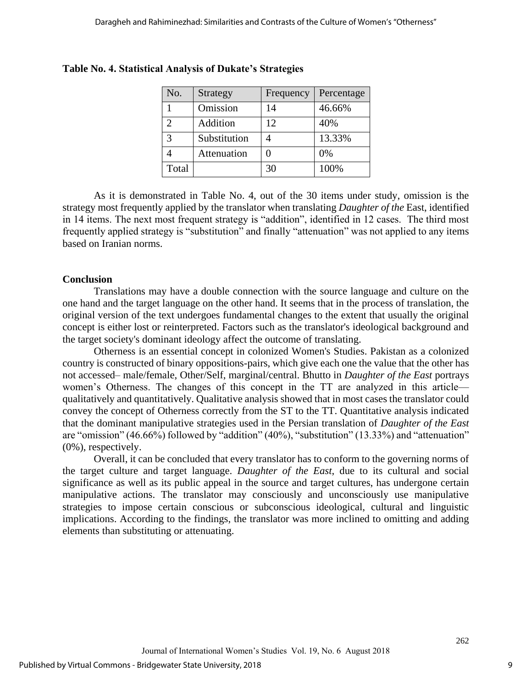| No.   | Strategy     | Frequency | Percentage |
|-------|--------------|-----------|------------|
|       | Omission     | 14        | 46.66%     |
|       | Addition     | 12        | 40%        |
| 3     | Substitution |           | 13.33%     |
|       | Attenuation  |           | 0%         |
| Total |              | 30        | 100%       |

## **Table No. 4. Statistical Analysis of Dukate's Strategies**

As it is demonstrated in Table No. 4, out of the 30 items under study, omission is the strategy most frequently applied by the translator when translating *Daughter of the* East, identified in 14 items. The next most frequent strategy is "addition", identified in 12 cases. The third most frequently applied strategy is "substitution" and finally "attenuation" was not applied to any items based on Iranian norms.

## **Conclusion**

Translations may have a double connection with the source language and culture on the one hand and the target language on the other hand. It seems that in the process of translation, the original version of the text undergoes fundamental changes to the extent that usually the original concept is either lost or reinterpreted. Factors such as the translator's ideological background and the target society's dominant ideology affect the outcome of translating.

Otherness is an essential concept in colonized Women's Studies. Pakistan as a colonized country is constructed of binary oppositions-pairs, which give each one the value that the other has not accessed– male/female, Other/Self, marginal/central. Bhutto in *Daughter of the East* portrays women's Otherness. The changes of this concept in the TT are analyzed in this article qualitatively and quantitatively. Qualitative analysis showed that in most cases the translator could convey the concept of Otherness correctly from the ST to the TT. Quantitative analysis indicated that the dominant manipulative strategies used in the Persian translation of *Daughter of the East* are "omission" (46.66%) followed by "addition" (40%), "substitution" (13.33%) and "attenuation" (0%), respectively.

Overall, it can be concluded that every translator has to conform to the governing norms of the target culture and target language. *Daughter of the East*, due to its cultural and social significance as well as its public appeal in the source and target cultures, has undergone certain manipulative actions. The translator may consciously and unconsciously use manipulative strategies to impose certain conscious or subconscious ideological, cultural and linguistic implications. According to the findings, the translator was more inclined to omitting and adding elements than substituting or attenuating.